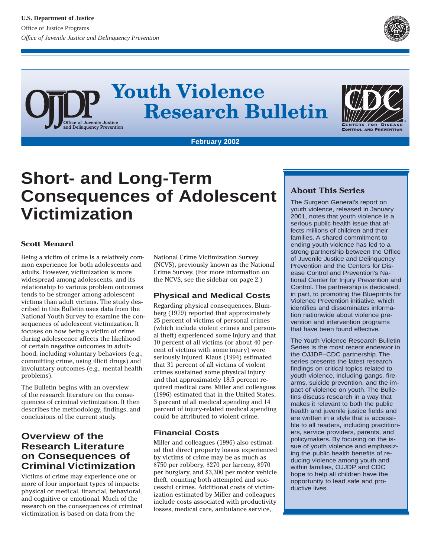

# **Youth Violence Research Bulletin** Office of Juvenile Justice<br>and Delinquency Prevention



**February 2002**

# **Short- and Long-Term Consequences of Adolescent Victimization**

#### **Scott Menard**

Being a victim of crime is a relatively common experience for both adolescents and adults. However, victimization is more widespread among adolescents, and its relationship to various problem outcomes tends to be stronger among adolescent victims than adult victims. The study described in this Bulletin uses data from the National Youth Survey to examine the consequences of adolescent victimization. It focuses on how being a victim of crime during adolescence affects the likelihood of certain negative outcomes in adulthood, including voluntary behaviors (e.g., committing crime, using illicit drugs) and involuntary outcomes (e.g., mental health problems).

The Bulletin begins with an overview of the research literature on the consequences of criminal victimization. It then describes the methodology, findings, and conclusions of the current study.

# **Overview of the Research Literature on Consequences of Criminal Victimization**

Victims of crime may experience one or more of four important types of impacts: physical or medical, financial, behavioral, and cognitive or emotional. Much of the research on the consequences of criminal victimization is based on data from the

National Crime Victimization Survey (NCVS), previously known as the National Crime Survey. (For more information on the NCVS, see the sidebar on page 2.)

# **Physical and Medical Costs**

Regarding physical consequences, Blumberg (1979) reported that approximately 25 percent of victims of personal crimes (which include violent crimes and personal theft) experienced some injury and that 10 percent of all victims (or about 40 percent of victims with some injury) were seriously injured. Klaus (1994) estimated that 31 percent of all victims of violent crimes sustained some physical injury and that approximately 18.5 percent required medical care. Miller and colleagues (1996) estimated that in the United States, 3 percent of all medical spending and 14 percent of injury-related medical spending could be attributed to violent crime.

#### **Financial Costs**

Miller and colleagues (1996) also estimated that direct property losses experienced by victims of crime may be as much as \$750 per robbery, \$270 per larceny, \$970 per burglary, and \$3,300 per motor vehicle theft, counting both attempted and successful crimes. Additional costs of victimization estimated by Miller and colleagues include costs associated with productivity losses, medical care, ambulance service,

# **About This Series**

The Surgeon General's report on youth violence, released in January 2001, notes that youth violence is a serious public health issue that affects millions of children and their families. A shared commitment to ending youth violence has led to a strong partnership between the Office of Juvenile Justice and Delinquency Prevention and the Centers for Disease Control and Prevention's National Center for Injury Prevention and Control. The partnership is dedicated, in part, to promoting the Blueprints for Violence Prevention initiative, which identifies and disseminates information nationwide about violence prevention and intervention programs that have been found effective.

The Youth Violence Research Bulletin Series is the most recent endeavor in the OJJDP–CDC partnership. The series presents the latest research findings on critical topics related to youth violence, including gangs, firearms, suicide prevention, and the impact of violence on youth. The Bulletins discuss research in a way that makes it relevant to both the public health and juvenile justice fields and are written in a style that is accessible to all readers, including practitioners, service providers, parents, and policymakers. By focusing on the issue of youth violence and emphasizing the public health benefits of reducing violence among youth and within families, OJJDP and CDC hope to help all children have the opportunity to lead safe and productive lives.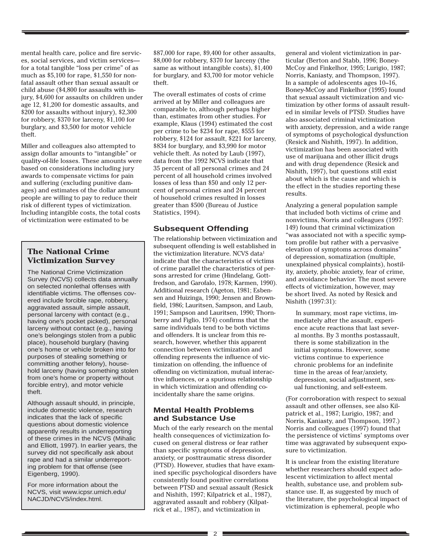mental health care, police and fire services, social services, and victim services for a total tangible "loss per crime" of as much as \$5,100 for rape, \$1,550 for nonfatal assault other than sexual assault or child abuse (\$4,800 for assaults with injury, \$4,600 for assaults on children under age 12, \$1,200 for domestic assaults, and \$200 for assaults without injury), \$2,300 for robbery, \$370 for larceny, \$1,100 for burglary, and \$3,500 for motor vehicle theft.

Miller and colleagues also attempted to assign dollar amounts to "intangible" or quality-of-life losses. These amounts were based on considerations including jury awards to compensate victims for pain and suffering (excluding punitive damages) and estimates of the dollar amount people are willing to pay to reduce their risk of different types of victimization. Including intangible costs, the total costs of victimization were estimated to be

### **The National Crime Victimization Survey**

The National Crime Victimization Survey (NCVS) collects data annually on selected nonlethal offenses with identifiable victims. The offenses covered include forcible rape, robbery, aggravated assault, simple assault, personal larceny with contact (e.g., having one's pocket picked), personal larceny without contact (e.g., having one's belongings stolen from a public place), household burglary (having one's home or vehicle broken into for purposes of stealing something or committing another felony), household larceny (having something stolen from one's home or property without forcible entry), and motor vehicle theft.

Although assault should, in principle, include domestic violence, research indicates that the lack of specific questions about domestic violence apparently results in underreporting of these crimes in the NCVS (Mihalic and Elliott, 1997). In earlier years, the survey did not specifically ask about rape and had a similar underreporting problem for that offense (see Eigenberg, 1990).

For more information about the NCVS, visit www.icpsr.umich.edu/ NACJD/NCVS/index.html.

\$87,000 for rape, \$9,400 for other assaults, \$8,000 for robbery, \$370 for larceny (the same as without intangible costs), \$1,400 for burglary, and \$3,700 for motor vehicle theft.

The overall estimates of costs of crime arrived at by Miller and colleagues are comparable to, although perhaps higher than, estimates from other studies. For example, Klaus (1994) estimated the cost per crime to be \$234 for rape, \$555 for robbery, \$124 for assault, \$221 for larceny, \$834 for burglary, and \$3,990 for motor vehicle theft. As noted by Laub (1997), data from the 1992 NCVS indicate that 35 percent of all personal crimes and 24 percent of all household crimes involved losses of less than \$50 and only 12 percent of personal crimes and 24 percent of household crimes resulted in losses greater than \$500 (Bureau of Justice Statistics, 1994).

# **Subsequent Offending**

The relationship between victimization and subsequent offending is well established in the victimization literature. NCVS data<sup>1</sup> indicate that the characteristics of victims of crime parallel the characteristics of persons arrested for crime (Hindelang, Gottfredson, and Garofalo, 1978; Karmen, 1990). Additional research (Ageton, 1981; Esbensen and Huizinga, 1990; Jensen and Brownfield, 1986; Lauritsen, Sampson, and Laub, 1991; Sampson and Lauritsen, 1990; Thornberry and Figlio, 1974) confirms that the same individuals tend to be both victims and offenders. It is unclear from this research, however, whether this apparent connection between victimization and offending represents the influence of victimization on offending, the influence of offending on victimization, mutual interactive influences, or a spurious relationship in which victimization and offending coincidentally share the same origins.

#### **Mental Health Problems and Substance Use**

Much of the early research on the mental health consequences of victimization focused on general distress or fear rather than specific symptoms of depression, anxiety, or posttraumatic stress disorder (PTSD). However, studies that have examined specific psychological disorders have consistently found positive correlations between PTSD and sexual assault (Resick and Nishith, 1997; Kilpatrick et al., 1987), aggravated assault and robbery (Kilpatrick et al., 1987), and victimization in

general and violent victimization in particular (Berton and Stabb, 1996; Boney-McCoy and Finkelhor, 1995; Lurigio, 1987; Norris, Kaniasty, and Thompson, 1997). In a sample of adolescents ages 10–16, Boney-McCoy and Finkelhor (1995) found that sexual assault victimization and victimization by other forms of assault resulted in similar levels of PTSD. Studies have also associated criminal victimization with anxiety, depression, and a wide range of symptoms of psychological dysfunction (Resick and Nishith, 1997). In addition, victimization has been associated with use of marijuana and other illicit drugs and with drug dependence (Resick and Nishith, 1997), but questions still exist about which is the cause and which is the effect in the studies reporting these results.

Analyzing a general population sample that included both victims of crime and nonvictims, Norris and colleagues (1997: 149) found that criminal victimization "was associated not with a specific symptom profile but rather with a pervasive elevation of symptoms across domains" of depression, somatization (multiple, unexplained physical complaints), hostility, anxiety, phobic anxiety, fear of crime, and avoidance behavior. The most severe effects of victimization, however, may be short lived. As noted by Resick and Nishith (1997:31):

In summary, most rape victims, immediately after the assault, experience acute reactions that last several months. By 3 months postassault, there is some stabilization in the initial symptoms. However, some victims continue to experience chronic problems for an indefinite time in the areas of fear/anxiety, depression, social adjustment, sexual functioning, and self-esteem.

(For corroboration with respect to sexual assault and other offenses, see also Kilpatrick et al., 1987; Lurigio, 1987; and Norris, Kaniasty, and Thompson, 1997.) Norris and colleagues (1997) found that the persistence of victims' symptoms over time was aggravated by subsequent exposure to victimization.

It is unclear from the existing literature whether researchers should expect adolescent victimization to affect mental health, substance use, and problem substance use. If, as suggested by much of the literature, the psychological impact of victimization is ephemeral, people who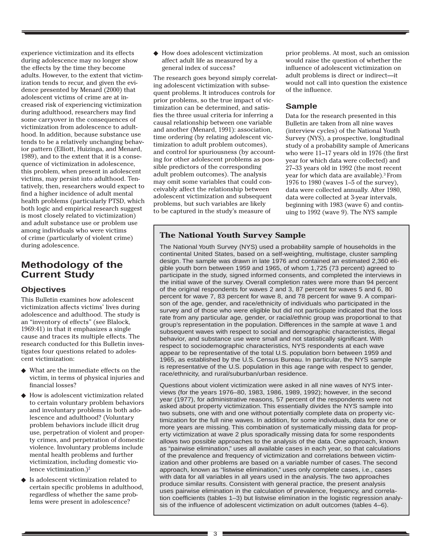experience victimization and its effects during adolescence may no longer show the effects by the time they become adults. However, to the extent that victimization tends to recur, and given the evidence presented by Menard (2000) that adolescent victims of crime are at increased risk of experiencing victimization during adulthood, researchers may find some carryover in the consequences of victimization from adolescence to adulthood. In addition, because substance use tends to be a relatively unchanging behavior pattern (Elliott, Huizinga, and Menard, 1989), and to the extent that it is a consequence of victimization in adolescence, this problem, when present in adolescent victims, may persist into adulthood. Tentatively, then, researchers would expect to find a higher incidence of adult mental health problems (particularly PTSD, which both logic and empirical research suggest is most closely related to victimization) and adult substance use or problem use among individuals who were victims of crime (particularly of violent crime) during adolescence.

# **Methodology of the Current Study**

#### **Objectives**

This Bulletin examines how adolescent victimization affects victims' lives during adolescence and adulthood. The study is an "inventory of effects" (see Blalock, 1969:41) in that it emphasizes a single cause and traces its multiple effects. The research conducted for this Bulletin investigates four questions related to adolescent victimization:

- What are the immediate effects on the victim, in terms of physical injuries and financial losses?
- ◆ How is adolescent victimization related to certain voluntary problem behaviors and involuntary problems in both adolescence and adulthood? (Voluntary problem behaviors include illicit drug use, perpetration of violent and property crimes, and perpetration of domestic violence. Involuntary problems include mental health problems and further victimization, including domestic violence victimization.)2
- ◆ Is adolescent victimization related to certain specific problems in adulthood, regardless of whether the same problems were present in adolescence?

◆ How does adolescent victimization affect adult life as measured by a general index of success?

The research goes beyond simply correlating adolescent victimization with subsequent problems. It introduces controls for prior problems, so the true impact of victimization can be determined, and satisfies the three usual criteria for inferring a causal relationship between one variable and another (Menard, 1991): association, time ordering (by relating adolescent victimization to adult problem outcomes), and control for spuriousness (by accounting for other adolescent problems as possible predictors of the corresponding adult problem outcomes). The analysis may omit some variables that could conceivably affect the relationship between adolescent victimization and subsequent problems, but such variables are likely to be captured in the study's measure of

prior problems. At most, such an omission would raise the question of whether the influence of adolescent victimization on adult problems is direct or indirect—it would not call into question the existence of the influence.

#### **Sample**

Data for the research presented in this Bulletin are taken from all nine waves (interview cycles) of the National Youth Survey (NYS), a prospective, longitudinal study of a probability sample of Americans who were 11–17 years old in 1976 (the first year for which data were collected) and 27–33 years old in 1992 (the most recent year for which data are available).3 From 1976 to 1980 (waves 1–5 of the survey), data were collected annually. After 1980, data were collected at 3-year intervals, beginning with 1983 (wave 6) and continuing to 1992 (wave 9). The NYS sample

# **The National Youth Survey Sample**

The National Youth Survey (NYS) used a probability sample of households in the continental United States, based on a self-weighting, multistage, cluster sampling design. The sample was drawn in late 1976 and contained an estimated 2,360 eligible youth born between 1959 and 1965, of whom 1,725 (73 percent) agreed to participate in the study, signed informed consents, and completed the interviews in the initial wave of the survey. Overall completion rates were more than 94 percent of the original respondents for waves 2 and 3, 87 percent for waves 5 and 6, 80 percent for wave 7, 83 percent for wave 8, and 78 percent for wave 9. A comparison of the age, gender, and race/ethnicity of individuals who participated in the survey and of those who were eligible but did not participate indicated that the loss rate from any particular age, gender, or racial/ethnic group was proportional to that group's representation in the population. Differences in the sample at wave 1 and subsequent waves with respect to social and demographic characteristics, illegal behavior, and substance use were small and not statistically significant. With respect to sociodemographic characteristics, NYS respondents at each wave appear to be representative of the total U.S. population born between 1959 and 1965, as established by the U.S. Census Bureau. In particular, the NYS sample is representative of the U.S. population in this age range with respect to gender, race/ethnicity, and rural/suburban/urban residence.

Questions about violent victimization were asked in all nine waves of NYS interviews (for the years 1976–80, 1983, 1986, 1989, 1992); however, in the second year (1977), for administrative reasons, 57 percent of the respondents were not asked about property victimization. This essentially divides the NYS sample into two subsets, one with and one without potentially complete data on property victimization for the full nine waves. In addition, for some individuals, data for one or more years are missing. This combination of systematically missing data for property victimization at wave 2 plus sporadically missing data for some respondents allows two possible approaches to the analysis of the data. One approach, known as "pairwise elimination," uses all available cases in each year, so that calculations of the prevalence and frequency of victimization and correlations between victimization and other problems are based on a variable number of cases. The second approach, known as "listwise elimination," uses only complete cases, i.e., cases with data for all variables in all years used in the analysis. The two approaches produce similar results. Consistent with general practice, the present analysis uses pairwise elimination in the calculation of prevalence, frequency, and correlation coefficients (tables 1–3) but listwise elimination in the logistic regression analysis of the influence of adolescent victimization on adult outcomes (tables 4–6).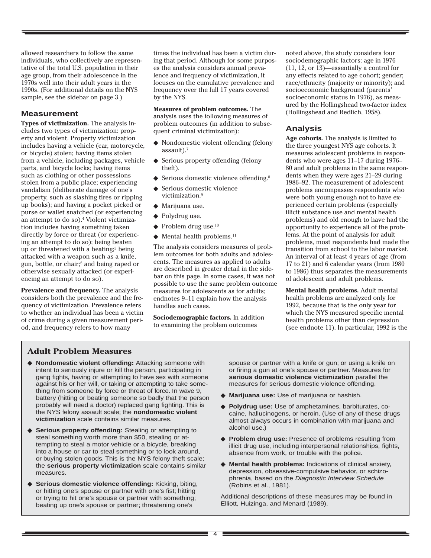allowed researchers to follow the same individuals, who collectively are representative of the total U.S. population in their age group, from their adolescence in the 1970s well into their adult years in the 1990s. (For additional details on the NYS sample, see the sidebar on page 3.)

#### **Measurement**

**Types of victimization.** The analysis includes two types of victimization: property and violent. Property victimization includes having a vehicle (car, motorcycle, or bicycle) stolen; having items stolen from a vehicle, including packages, vehicle parts, and bicycle locks; having items such as clothing or other possessions stolen from a public place; experiencing vandalism (deliberate damage of one's property, such as slashing tires or ripping up books); and having a pocket picked or purse or wallet snatched (or experiencing an attempt to do so).<sup>4</sup> Violent victimization includes having something taken directly by force or threat (or experiencing an attempt to do so); being beaten up or threatened with a beating:<sup>5</sup> being attacked with a weapon such as a knife, gun, bottle, or chair;6 and being raped or otherwise sexually attacked (or experiencing an attempt to do so).

**Prevalence and frequency.** The analysis considers both the prevalence and the frequency of victimization. Prevalence refers to whether an individual has been a victim of crime during a given measurement period, and frequency refers to how many

times the individual has been a victim during that period. Although for some purposes the analysis considers annual prevalence and frequency of victimization, it focuses on the cumulative prevalence and frequency over the full 17 years covered by the NYS.

**Measures of problem outcomes.** The analysis uses the following measures of problem outcomes (in addition to subsequent criminal victimization):

- ◆ Nondomestic violent offending (felony assault).7
- ◆ Serious property offending (felony theft).
- ◆ Serious domestic violence offending.<sup>8</sup>
- Serious domestic violence victimization.9
- ◆ Marijuana use.
- ◆ Polydrug use.
- $\blacklozenge$  Problem drug use.<sup>10</sup>
- ◆ Mental health problems.11

The analysis considers measures of problem outcomes for both adults and adolescents. The measures as applied to adults are described in greater detail in the sidebar on this page. In some cases, it was not possible to use the same problem outcome measures for adolescents as for adults; endnotes 9–11 explain how the analysis handles such cases.

**Sociodemographic factors.** In addition to examining the problem outcomes

noted above, the study considers four sociodemographic factors: age in 1976 (11, 12, or 13)—essentially a control for any effects related to age cohort; gender; race/ethnicity (majority or minority); and socioeconomic background (parents' socioeconomic status in 1976), as measured by the Hollingshead two-factor index (Hollingshead and Redlich, 1958).

#### **Analysis**

**Age cohorts.** The analysis is limited to the three youngest NYS age cohorts. It measures adolescent problems in respondents who were ages 11–17 during 1976– 80 and adult problems in the same respondents when they were ages 21–29 during 1986–92. The measurement of adolescent problems encompasses respondents who were both young enough not to have experienced certain problems (especially illicit substance use and mental health problems) and old enough to have had the opportunity to experience all of the problems. At the point of analysis for adult problems, most respondents had made the transition from school to the labor market. An interval of at least 4 years of age (from 17 to 21) and 6 calendar years (from 1980 to 1986) thus separates the measurements of adolescent and adult problems.

**Mental health problems.** Adult mental health problems are analyzed only for 1992, because that is the only year for which the NYS measured specific mental health problems other than depression (see endnote 11). In particular, 1992 is the

#### **Adult Problem Measures**

- ◆ **Nondomestic violent offending:** Attacking someone with intent to seriously injure or kill the person, participating in gang fights, having or attempting to have sex with someone against his or her will, or taking or attempting to take something from someone by force or threat of force. In wave 9, battery (hitting or beating someone so badly that the person probably will need a doctor) replaced gang fighting. This is the NYS felony assault scale; the **nondomestic violent victimization** scale contains similar measures.
- ◆ **Serious property offending:** Stealing or attempting to steal something worth more than \$50, stealing or attempting to steal a motor vehicle or a bicycle, breaking into a house or car to steal something or to look around, or buying stolen goods. This is the NYS felony theft scale; the **serious property victimization** scale contains similar measures.
- ◆ **Serious domestic violence offending:** Kicking, biting, or hitting one's spouse or partner with one's fist; hitting or trying to hit one's spouse or partner with something; beating up one's spouse or partner; threatening one's

spouse or partner with a knife or gun; or using a knife on or firing a gun at one's spouse or partner. Measures for **serious domestic violence victimization** parallel the measures for serious domestic violence offending.

- ◆ **Marijuana use:** Use of marijuana or hashish.
- ◆ **Polydrug use:** Use of amphetamines, barbiturates, cocaine, hallucinogens, or heroin. (Use of any of these drugs almost always occurs in combination with marijuana and alcohol use.)
- ◆ **Problem drug use:** Presence of problems resulting from illicit drug use, including interpersonal relationships, fights, absence from work, or trouble with the police.
- ◆ **Mental health problems:** Indications of clinical anxiety, depression, obsessive-compulsive behavior, or schizophrenia, based on the Diagnostic Interview Schedule (Robins et al., 1981).

Additional descriptions of these measures may be found in Elliott, Huizinga, and Menard (1989).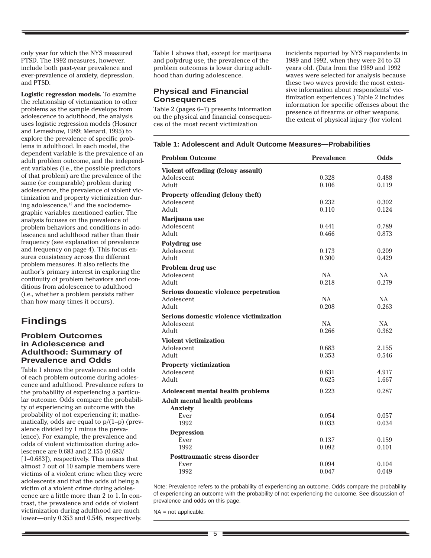only year for which the NYS measured PTSD. The 1992 measures, however, include both past-year prevalence and ever-prevalence of anxiety, depression, and PTSD.

**Logistic regression models.** To examine the relationship of victimization to other problems as the sample develops from adolescence to adulthood, the analysis uses logistic regression models (Hosmer and Lemeshow, 1989; Menard, 1995) to explore the prevalence of specific problems in adulthood. In each model, the dependent variable is the prevalence of an adult problem outcome, and the independent variables (i.e., the possible predictors of that problem) are the prevalence of the same (or comparable) problem during adolescence, the prevalence of violent victimization and property victimization during adolescence,12 and the sociodemographic variables mentioned earlier. The analysis focuses on the prevalence of problem behaviors and conditions in adolescence and adulthood rather than their frequency (see explanation of prevalence and frequency on page 4). This focus ensures consistency across the different problem measures. It also reflects the author's primary interest in exploring the continuity of problem behaviors and conditions from adolescence to adulthood (i.e., whether a problem persists rather than how many times it occurs).

# **Findings**

#### **Problem Outcomes in Adolescence and Adulthood: Summary of Prevalence and Odds**

Table 1 shows the prevalence and odds of each problem outcome during adolescence and adulthood. Prevalence refers to the probability of experiencing a particular outcome. Odds compare the probability of experiencing an outcome with the probability of not experiencing it; mathematically, odds are equal to  $p/(1-p)$  (prevalence divided by 1 minus the prevalence). For example, the prevalence and odds of violent victimization during adolescence are 0.683 and 2.155 (0.683/ [1–0.683]), respectively. This means that almost 7 out of 10 sample members were victims of a violent crime when they were adolescents and that the odds of being a victim of a violent crime during adolescence are a little more than 2 to 1. In contrast, the prevalence and odds of violent victimization during adulthood are much lower—only 0.353 and 0.546, respectively.

Table 1 shows that, except for marijuana and polydrug use, the prevalence of the problem outcomes is lower during adulthood than during adolescence.

#### **Physical and Financial Consequences**

Table 2 (pages 6–7) presents information on the physical and financial consequences of the most recent victimization

incidents reported by NYS respondents in 1989 and 1992, when they were 24 to 33 years old. (Data from the 1989 and 1992 waves were selected for analysis because these two waves provide the most extensive information about respondents' victimization experiences.) Table 2 includes information for specific offenses about the presence of firearms or other weapons, the extent of physical injury (for violent

#### **Table 1: Adolescent and Adult Outcome Measures—Probabilities**

| <b>Problem Outcome</b>                   | <b>Prevalence</b> | <b>Odds</b> |
|------------------------------------------|-------------------|-------------|
| Violent offending (felony assault)       |                   |             |
| Adolescent                               | 0.328             | 0.488       |
| Adult                                    | 0.106             | 0.119       |
| Property offending (felony theft)        |                   |             |
| Adolescent                               | 0.232             | 0.302       |
| Adult                                    | 0.110             | 0.124       |
| Marijuana use                            |                   |             |
| Adolescent                               | 0.441             | 0.789       |
| Adult                                    | 0.466             | 0.873       |
| Polydrug use                             |                   |             |
| Adolescent                               | 0.173             | 0.209       |
| Adult                                    | 0.300             | 0.429       |
| Problem drug use                         |                   |             |
| Adolescent                               | <b>NA</b>         | <b>NA</b>   |
| Adult                                    | 0.218             | 0.279       |
| Serious domestic violence perpetration   |                   |             |
| Adolescent                               | NA                | NA          |
| Adult                                    | 0.208             | 0.263       |
| Serious domestic violence victimization  |                   |             |
| Adolescent                               | <b>NA</b>         | <b>NA</b>   |
| Adult                                    | 0.266             | 0.362       |
| <b>Violent victimization</b>             |                   |             |
| Adolescent                               | 0.683             | 2.155       |
| Adult                                    | 0.353             | 0.546       |
| <b>Property victimization</b>            |                   |             |
| Adolescent                               | 0.831             | 4.917       |
| Adult                                    | 0.625             | 1.667       |
| <b>Adolescent mental health problems</b> | 0.223             | 0.287       |
| <b>Adult mental health problems</b>      |                   |             |
| <b>Anxiety</b>                           |                   |             |
| Ever                                     | 0.054             | 0.057       |
| 1992                                     | 0.033             | 0.034       |
| <b>Depression</b>                        |                   |             |
| Ever                                     | 0.137             | 0.159       |
| 1992                                     | 0.092             | 0.101       |
| Posttraumatic stress disorder            |                   |             |
| Ever                                     | 0.094             | 0.104       |
| 1992                                     | 0.047             | 0.049       |
|                                          |                   |             |

Note: Prevalence refers to the probability of experiencing an outcome. Odds compare the probability of experiencing an outcome with the probability of not experiencing the outcome. See discussion of prevalence and odds on this page.

NA = not applicable.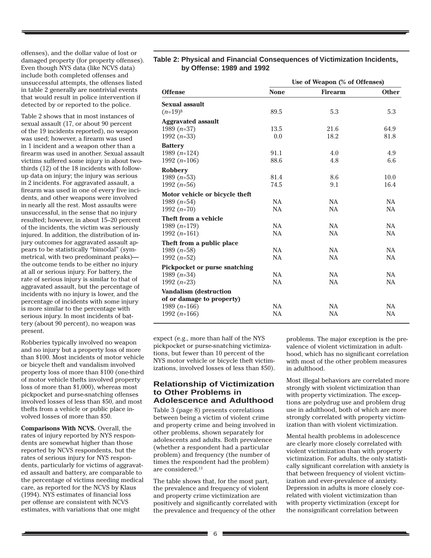offenses), and the dollar value of lost or damaged property (for property offenses). Even though NYS data (like NCVS data) include both completed offenses and unsuccessful attempts, the offenses listed in table 2 generally are nontrivial events that would result in police intervention if detected by or reported to the police.

Table 2 shows that in most instances of sexual assault (17, or about 90 percent of the 19 incidents reported), no weapon was used; however, a firearm was used in 1 incident and a weapon other than a firearm was used in another. Sexual assault victims suffered some injury in about twothirds (12) of the 18 incidents with followup data on injury; the injury was serious in 2 incidents. For aggravated assault, a firearm was used in one of every five incidents, and other weapons were involved in nearly all the rest. Most assaults were unsuccessful, in the sense that no injury resulted; however, in about 15–20 percent of the incidents, the victim was seriously injured. In addition, the distribution of injury outcomes for aggravated assault appears to be statistically "bimodal" (symmetrical, with two predominant peaks) the outcome tends to be either no injury at all or serious injury. For battery, the rate of serious injury is similar to that of aggravated assault, but the percentage of incidents with no injury is lower, and the percentage of incidents with some injury is more similar to the percentage with serious injury. In most incidents of battery (about 90 percent), no weapon was present.

Robberies typically involved no weapon and no injury but a property loss of more than \$100. Most incidents of motor vehicle or bicycle theft and vandalism involved property loss of more than \$100 (one-third of motor vehicle thefts involved property loss of more than \$1,000), whereas most pickpocket and purse-snatching offenses involved losses of less than \$50, and most thefts from a vehicle or public place involved losses of more than \$50.

**Comparisons With NCVS.** Overall, the rates of injury reported by NYS respondents are somewhat higher than those reported by NCVS respondents, but the rates of serious injury for NYS respondents, particularly for victims of aggravated assault and battery, are comparable to the percentage of victims needing medical care, as reported for the NCVS by Klaus (1994). NYS estimates of financial loss per offense are consistent with NCVS estimates, with variations that one might

#### **Table 2: Physical and Financial Consequences of Victimization Incidents, by Offense: 1989 and 1992**

|                                | Use of Weapon (% of Offenses) |                |              |  |  |
|--------------------------------|-------------------------------|----------------|--------------|--|--|
| <b>Offense</b>                 | <b>None</b>                   | <b>Firearm</b> | <b>Other</b> |  |  |
| <b>Sexual assault</b>          |                               |                |              |  |  |
| $(n=19)$ <sup>§</sup>          | 89.5                          | 5.3            | 5.3          |  |  |
| <b>Aggravated assault</b>      |                               |                |              |  |  |
| 1989 $(n=37)$                  | 13.5                          | 21.6           | 64.9         |  |  |
| 1992 $(n=33)$                  | 0.0                           | 18.2           | 81.8         |  |  |
| <b>Battery</b>                 |                               |                |              |  |  |
| 1989 $(n=124)$                 | 91.1                          | 4.0            | 4.9          |  |  |
| 1992 $(n=106)$                 | 88.6                          | 4.8            | 6.6          |  |  |
| <b>Robbery</b>                 |                               |                |              |  |  |
| 1989 $(n=53)$                  | 81.4                          | 8.6            | 10.0         |  |  |
| 1992 $(n=56)$                  | 74.5                          | 9.1            | 16.4         |  |  |
| Motor vehicle or bicycle theft |                               |                |              |  |  |
| 1989 $(n=54)$                  | <b>NA</b>                     | <b>NA</b>      | <b>NA</b>    |  |  |
| 1992 $(n=70)$                  | <b>NA</b>                     | <b>NA</b>      | <b>NA</b>    |  |  |
| Theft from a vehicle           |                               |                |              |  |  |
| 1989 $(n=179)$                 | <b>NA</b>                     | <b>NA</b>      | <b>NA</b>    |  |  |
| 1992 $(n=161)$                 | <b>NA</b>                     | NA             | <b>NA</b>    |  |  |
| Theft from a public place      |                               |                |              |  |  |
| 1989 $(n=58)$                  | <b>NA</b>                     | <b>NA</b>      | <b>NA</b>    |  |  |
| 1992 $(n=52)$                  | <b>NA</b>                     | <b>NA</b>      | <b>NA</b>    |  |  |
| Pickpocket or purse snatching  |                               |                |              |  |  |
| 1989 $(n=34)$                  | <b>NA</b>                     | <b>NA</b>      | <b>NA</b>    |  |  |
| 1992 $(n=23)$                  | <b>NA</b>                     | NA             | NA           |  |  |
| <b>Vandalism (destruction</b>  |                               |                |              |  |  |
| of or damage to property)      |                               |                |              |  |  |
| 1989 $(n=166)$                 | <b>NA</b>                     | <b>NA</b>      | <b>NA</b>    |  |  |
| 1992 $(n=166)$                 | <b>NA</b>                     | <b>NA</b>      | <b>NA</b>    |  |  |

expect (e.g., more than half of the NYS pickpocket or purse-snatching victimizations, but fewer than 10 percent of the NYS motor vehicle or bicycle theft victimizations, involved losses of less than \$50).

#### **Relationship of Victimization to Other Problems in Adolescence and Adulthood**

Table 3 (page 8) presents correlations between being a victim of violent crime and property crime and being involved in other problems, shown separately for adolescents and adults. Both prevalence (whether a respondent had a particular problem) and frequency (the number of times the respondent had the problem) are considered.13

The table shows that, for the most part, the prevalence and frequency of violent and property crime victimization are positively and significantly correlated with the prevalence and frequency of the other

problems. The major exception is the prevalence of violent victimization in adulthood, which has no significant correlation with most of the other problem measures in adulthood.

Most illegal behaviors are correlated more strongly with violent victimization than with property victimization. The exceptions are polydrug use and problem drug use in adulthood, both of which are more strongly correlated with property victimization than with violent victimization.

Mental health problems in adolescence are clearly more closely correlated with violent victimization than with property victimization. For adults, the only statistically significant correlation with anxiety is that between frequency of violent victimization and ever-prevalence of anxiety. Depression in adults is more closely correlated with violent victimization than with property victimization (except for the nonsignificant correlation between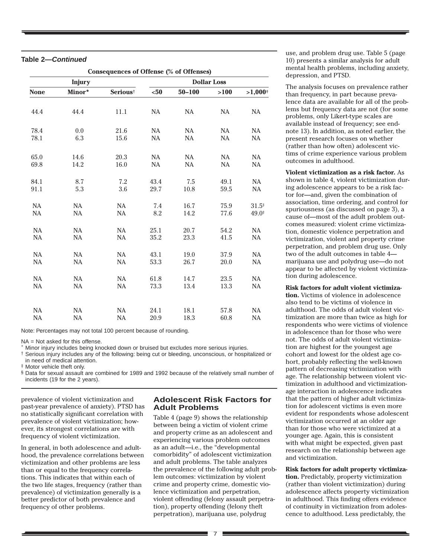|  | Table 2— <i>Continued</i> |
|--|---------------------------|
|--|---------------------------|

| Consequences of Offense (% of Offenses) |           |                      |                    |            |           |           |
|-----------------------------------------|-----------|----------------------|--------------------|------------|-----------|-----------|
| <b>Injury</b>                           |           |                      | <b>Dollar Loss</b> |            |           |           |
| <b>None</b>                             | Minor*    | Serious <sup>†</sup> | $50$               | $50 - 100$ | >100      | $>1,000*$ |
| 44.4                                    | 44.4      | 11.1                 | NA                 | NA         | <b>NA</b> | NA        |
| 78.4                                    | 0.0       | 21.6                 | NA                 | NA         | NA        | <b>NA</b> |
| 78.1                                    | 6.3       | 15.6                 | NA                 | NA         | <b>NA</b> | <b>NA</b> |
| 65.0                                    | 14.6      | 20.3                 | NA                 | NA         | NA        | NA        |
| 69.8                                    | 14.2      | 16.0                 | NA                 | NA         | <b>NA</b> | NA        |
| 84.1                                    | 8.7       | 7.2                  | 43.4               | 7.5        | 49.1      | NA        |
| 91.1                                    | 5.3       | 3.6                  | 29.7               | 10.8       | 59.5      | NA        |
| NA                                      | <b>NA</b> | <b>NA</b>            | 7.4                | 16.7       | 75.9      | $31.5*$   |
| <b>NA</b>                               | <b>NA</b> | <b>NA</b>            | 8.2                | 14.2       | 77.6      | 49.0*     |
| NA                                      | <b>NA</b> | <b>NA</b>            | 25.1               | 20.7       | 54.2      | NA        |
| NA                                      | <b>NA</b> | NA                   | 35.2               | 23.3       | 41.5      | NA        |
| NA                                      | <b>NA</b> | <b>NA</b>            | 43.1               | 19.0       | 37.9      | NA        |
| <b>NA</b>                               | <b>NA</b> | NA                   | 53.3               | 26.7       | 20.0      | NA        |
| NA                                      | NA        | <b>NA</b>            | 61.8               | 14.7       | 23.5      | NA        |
| NA                                      | NA        | <b>NA</b>            | 73.3               | 13.4       | 13.3      | NA        |
| NA                                      | <b>NA</b> | NA                   | 24.1               | 18.1       | 57.8      | NA        |
| <b>NA</b>                               | <b>NA</b> | NA                   | 20.9               | 18.3       | 60.8      | NA        |

Note: Percentages may not total 100 percent because of rounding.

NA = Not asked for this offense.

Minor injury includes being knocked down or bruised but excludes more serious injuries.

† Serious injury includes any of the following: being cut or bleeding, unconscious, or hospitalized or

in need of medical attention.

‡ Motor vehicle theft only.

§ Data for sexual assault are combined for 1989 and 1992 because of the relatively small number of incidents (19 for the 2 years).

prevalence of violent victimization and past-year prevalence of anxiety). PTSD has no statistically significant correlation with prevalence of violent victimization; however, its strongest correlations are with frequency of violent victimization.

In general, in both adolescence and adulthood, the prevalence correlations between victimization and other problems are less than or equal to the frequency correlations. This indicates that within each of the two life stages, frequency (rather than prevalence) of victimization generally is a better predictor of both prevalence and frequency of other problems.

#### **Adolescent Risk Factors for Adult Problems**

Table 4 (page 9) shows the relationship between being a victim of violent crime and property crime as an adolescent and experiencing various problem outcomes as an adult—i.e., the "developmental comorbidity" of adolescent victimization and adult problems. The table analyzes the prevalence of the following adult problem outcomes: victimization by violent crime and property crime, domestic violence victimization and perpetration, violent offending (felony assault perpetration), property offending (felony theft perpetration), marijuana use, polydrug

use, and problem drug use. Table 5 (page 10) presents a similar analysis for adult mental health problems, including anxiety, depression, and PTSD.

The analysis focuses on prevalence rather than frequency, in part because prevalence data are available for all of the problems but frequency data are not (for some problems, only Likert-type scales are available instead of frequency; see endnote 13). In addition, as noted earlier, the present research focuses on whether (rather than how often) adolescent victims of crime experience various problem outcomes in adulthood.

**Violent victimization as a risk factor.** As shown in table 4, violent victimization during adolescence appears to be a risk factor for—and, given the combination of association, time ordering, and control for spuriousness (as discussed on page 3), a cause of—most of the adult problem outcomes measured: violent crime victimization, domestic violence perpetration and victimization, violent and property crime perpetration, and problem drug use. Only two of the adult outcomes in table 4 marijuana use and polydrug use—do not appear to be affected by violent victimization during adolescence.

**Risk factors for adult violent victimiza-**

**tion.** Victims of violence in adolescence also tend to be victims of violence in adulthood. The odds of adult violent victimization are more than twice as high for respondents who were victims of violence in adolescence than for those who were not. The odds of adult violent victimization are highest for the youngest age cohort and lowest for the oldest age cohort, probably reflecting the well-known pattern of decreasing victimization with age. The relationship between violent victimization in adulthood and victimizationage interaction in adolescence indicates that the pattern of higher adult victimization for adolescent victims is even more evident for respondents whose adolescent victimization occurred at an older age than for those who were victimized at a younger age. Again, this is consistent with what might be expected, given past research on the relationship between age and victimization.

**Risk factors for adult property victimization.** Predictably, property victimization (rather than violent victimization) during adolescence affects property victimization in adulthood. This finding offers evidence of continuity in victimization from adolescence to adulthood. Less predictably, the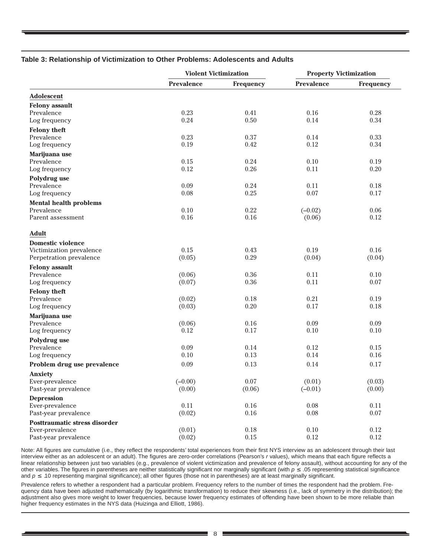#### **Table 3: Relationship of Victimization to Other Problems: Adolescents and Adults**

|                               | <b>Violent Victimization</b> |                  | <b>Property Victimization</b> |                  |  |
|-------------------------------|------------------------------|------------------|-------------------------------|------------------|--|
|                               | <b>Prevalence</b>            | <b>Frequency</b> | <b>Prevalence</b>             | <b>Frequency</b> |  |
| <b>Adolescent</b>             |                              |                  |                               |                  |  |
| <b>Felony</b> assault         |                              |                  |                               |                  |  |
| Prevalence                    | 0.23                         | 0.41             | 0.16                          | 0.28             |  |
| Log frequency                 | 0.24                         | 0.50             | 0.14                          | 0.34             |  |
| <b>Felony theft</b>           |                              |                  |                               |                  |  |
| Prevalence                    | 0.23                         | 0.37             | 0.14                          | 0.33             |  |
| Log frequency                 | 0.19                         | 0.42             | 0.12                          | 0.34             |  |
| Marijuana use                 |                              |                  |                               |                  |  |
| Prevalence                    | 0.15                         | 0.24             | 0.10                          | 0.19             |  |
| Log frequency                 | 0.12                         | 0.26             | 0.11                          | 0.20             |  |
|                               |                              |                  |                               |                  |  |
| Polydrug use                  |                              |                  |                               |                  |  |
| Prevalence                    | 0.09                         | 0.24             | 0.11                          | 0.18             |  |
| Log frequency                 | 0.08                         | 0.25             | 0.07                          | 0.17             |  |
| <b>Mental health problems</b> |                              |                  |                               |                  |  |
| Prevalence                    | 0.10                         | 0.22             | $(-0.02)$                     | 0.06             |  |
| Parent assessment             | 0.16                         | 0.16             | (0.06)                        | 0.12             |  |
| <b>Adult</b>                  |                              |                  |                               |                  |  |
| <b>Domestic violence</b>      |                              |                  |                               |                  |  |
| Victimization prevalence      | 0.15                         | 0.43             | 0.19                          | 0.16             |  |
| Perpetration prevalence       | (0.05)                       | 0.29             | (0.04)                        | (0.04)           |  |
| <b>Felony</b> assault         |                              |                  |                               |                  |  |
| Prevalence                    | (0.06)                       | 0.36             | 0.11                          | 0.10             |  |
| Log frequency                 | (0.07)                       | 0.36             | 0.11                          | 0.07             |  |
|                               |                              |                  |                               |                  |  |
| <b>Felony theft</b>           |                              |                  |                               |                  |  |
| Prevalence                    | (0.02)                       | 0.18             | 0.21                          | 0.19             |  |
| Log frequency                 | (0.03)                       | 0.20             | 0.17                          | 0.18             |  |
| Marijuana use                 |                              |                  |                               |                  |  |
| Prevalence                    | (0.06)                       | 0.16             | 0.09                          | 0.09             |  |
| Log frequency                 | 0.12                         | 0.17             | 0.10                          | 0.10             |  |
| Polydrug use                  |                              |                  |                               |                  |  |
| Prevalence                    | 0.09                         | 0.14             | 0.12                          | 0.15             |  |
| Log frequency                 | 0.10                         | 0.13             | 0.14                          | 0.16             |  |
| Problem drug use prevalence   | 0.09                         | 0.13             | 0.14                          | 0.17             |  |
| <b>Anxiety</b>                |                              |                  |                               |                  |  |
| Ever-prevalence               | $(-0.00)$                    | 0.07             | (0.01)                        | (0.03)           |  |
| Past-year prevalence          | (0.00)                       | (0.06)           | $(-0.01)$                     | (0.00)           |  |
| <b>Depression</b>             |                              |                  |                               |                  |  |
| Ever-prevalence               | 0.11                         | $0.16\,$         | 0.08                          | 0.11             |  |
| Past-year prevalence          | (0.02)                       | 0.16             | 0.08                          | $0.07\,$         |  |
| Posttraumatic stress disorder |                              |                  |                               |                  |  |
|                               |                              |                  | 0.10                          | 0.12             |  |
| Ever-prevalence               | (0.01)                       | 0.18             |                               |                  |  |
| Past-year prevalence          | (0.02)                       | $0.15\,$         | $0.12\,$                      | 0.12             |  |

Note: All figures are cumulative (i.e., they reflect the respondents' total experiences from their first NYS interview as an adolescent through their last interview either as an adolescent or an adult). The figures are zero-order correlations (Pearson's r values), which means that each figure reflects a linear relationship between just two variables (e.g., prevalence of violent victimization and prevalence of felony assault), without accounting for any of the other variables. The figures in parentheses are neither statistically significant nor marginally significant (with  $p \le 0.05$  representing statistical significance and  $p \leq 0.10$  representing marginal significance); all other figures (those not in parentheses) are at least marginally significant.

Prevalence refers to whether a respondent had a particular problem. Frequency refers to the number of times the respondent had the problem. Frequency data have been adjusted mathematically (by logarithmic transformation) to reduce their skewness (i.e., lack of symmetry in the distribution); the adjustment also gives more weight to lower frequencies, because lower frequency estimates of offending have been shown to be more reliable than higher frequency estimates in the NYS data (Huizinga and Elliott, 1986).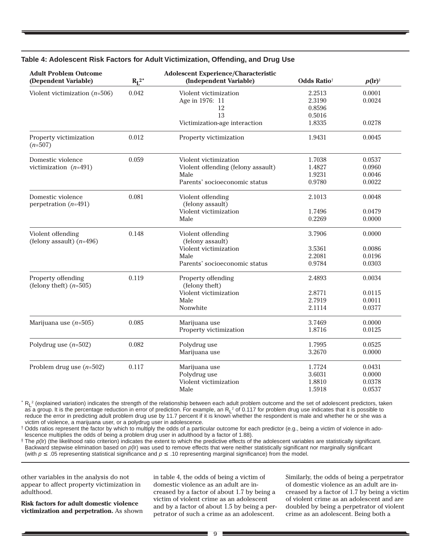| <b>Adult Problem Outcome</b><br>(Dependent Variable) | $R_{I}^2$ | <b>Adolescent Experience/Characteristic</b><br>(Independent Variable) | <b>Odds Ratio<sup>†</sup></b> | $p(\mathbf{r})^*$ |
|------------------------------------------------------|-----------|-----------------------------------------------------------------------|-------------------------------|-------------------|
| Violent victimization $(n=506)$                      | 0.042     | Violent victimization                                                 | 2.2513                        | 0.0001            |
|                                                      |           | Age in 1976: 11                                                       | 2.3190                        | 0.0024            |
|                                                      |           | 12                                                                    | 0.8596                        |                   |
|                                                      |           | 13                                                                    | 0.5016                        |                   |
|                                                      |           | Victimization-age interaction                                         | 1.8335                        | 0.0278            |
| Property victimization<br>$(n=507)$                  | 0.012     | Property victimization                                                | 1.9431                        | 0.0045            |
| Domestic violence                                    | 0.059     | Violent victimization                                                 | 1.7038                        | 0.0537            |
| victimization $(n=491)$                              |           | Violent offending (felony assault)                                    | 1.4827                        | 0.0960            |
|                                                      |           | Male                                                                  | 1.9231                        | 0.0046            |
|                                                      |           | Parents' socioeconomic status                                         | 0.9780                        | 0.0022            |
| Domestic violence<br>perpetration $(n=491)$          | 0.081     | Violent offending<br>(felony assault)                                 | 2.1013                        | 0.0048            |
|                                                      |           | Violent victimization                                                 | 1.7496                        | 0.0479            |
|                                                      |           | Male                                                                  | 0.2269                        | 0.0000            |
| Violent offending<br>(felony assault) $(n=496)$      | 0.148     | Violent offending<br>(felony assault)                                 | 3.7906                        | 0.0000            |
|                                                      |           | Violent victimization                                                 | 3.5361                        | 0.0086            |
|                                                      |           | Male                                                                  | 2.2081                        | 0.0196            |
|                                                      |           | Parents' socioeconomic status                                         | 0.9784                        | 0.0303            |
| Property offending<br>(felony theft) $(n=505)$       | 0.119     | Property offending<br>(felony theft)                                  | 2.4893                        | 0.0034            |
|                                                      |           | Violent victimization                                                 | 2.8771                        | 0.0115            |
|                                                      |           | Male                                                                  | 2.7919                        | 0.0011            |
|                                                      |           | Nonwhite                                                              | 2.1114                        | 0.0377            |
| Marijuana use $(n=505)$                              | 0.085     | Marijuana use                                                         | 3.7469                        | 0.0000            |
|                                                      |           | Property victimization                                                | 1.8716                        | 0.0125            |
| Polydrug use $(n=502)$                               | 0.082     | Polydrug use                                                          | 1.7995                        | 0.0525            |
|                                                      |           | Marijuana use                                                         | 3.2670                        | 0.0000            |
| Problem drug use $(n=502)$                           | 0.117     | Marijuana use                                                         | 1.7724                        | 0.0431            |
|                                                      |           | Polydrug use                                                          | 3.6031                        | 0.0000            |
|                                                      |           | Violent victimization                                                 | 1.8810                        | 0.0378            |
|                                                      |           | Male                                                                  | 1.5918                        | 0.0537            |

#### **Table 4: Adolescent Risk Factors for Adult Victimization, Offending, and Drug Use**

\* R<sub>L</sub><sup>2</sup> (explained variation) indicates the strength of the relationship between each adult problem outcome and the set of adolescent predictors, taken as a group. It is the percentage reduction in error of prediction. For example, an  $R<sub>L</sub><sup>2</sup>$  of 0.117 for problem drug use indicates that it is possible to reduce the error in predicting adult problem drug use by 11.7 percent if it is known whether the respondent is male and whether he or she was a victim of violence, a marijuana user, or a polydrug user in adolescence.

† Odds ratios represent the factor by which to multiply the odds of a particular outcome for each predictor (e.g., being a victim of violence in adolescence multiplies the odds of being a problem drug user in adulthood by a factor of 1.88).

The p(Ir) (the likelihood ratio criterion) indicates the extent to which the predictive effects of the adolescent variables are statistically significant. Backward stepwise elimination based on  $p($ lr) was used to remove effects that were neither statistically significant nor marginally significant (with  $p ≤ .05$  representing statistical significance and  $p ≤ .10$  representing marginal significance) from the model.

other variables in the analysis do not appear to affect property victimization in adulthood.

**Risk factors for adult domestic violence victimization and perpetration.** As shown in table 4, the odds of being a victim of domestic violence as an adult are increased by a factor of about 1.7 by being a victim of violent crime as an adolescent and by a factor of about 1.5 by being a perpetrator of such a crime as an adolescent.

Similarly, the odds of being a perpetrator of domestic violence as an adult are increased by a factor of 1.7 by being a victim of violent crime as an adolescent and are doubled by being a perpetrator of violent crime as an adolescent. Being both a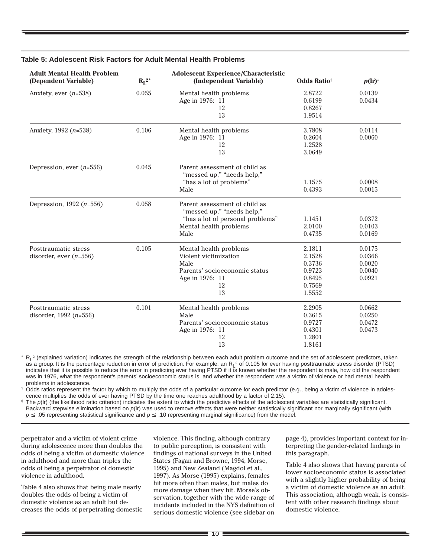| <b>Adult Mental Health Problem</b><br>$R_L^2$<br>(Dependent Variable) |       | <b>Adolescent Experience/Characteristic</b><br>(Independent Variable) | <b>Odds Ratio<sup>®</sup></b> |        |  |
|-----------------------------------------------------------------------|-------|-----------------------------------------------------------------------|-------------------------------|--------|--|
| Anxiety, ever $(n=538)$                                               | 0.055 | Mental health problems                                                | 2.8722                        | 0.0139 |  |
|                                                                       |       | Age in 1976: 11                                                       | 0.6199                        | 0.0434 |  |
|                                                                       |       | 12                                                                    | 0.8267                        |        |  |
|                                                                       |       | 13                                                                    | 1.9514                        |        |  |
| Anxiety, 1992 $(n=538)$                                               | 0.106 | Mental health problems                                                | 3.7808                        | 0.0114 |  |
|                                                                       |       | Age in 1976: 11                                                       | 0.2604                        | 0.0060 |  |
|                                                                       |       | 12                                                                    | 1.2528                        |        |  |
|                                                                       |       | 13                                                                    | 3.0649                        |        |  |
| Depression, ever $(n=556)$                                            | 0.045 | Parent assessment of child as<br>"messed up," "needs help,"           |                               |        |  |
|                                                                       |       | "has a lot of problems"                                               | 1.1575                        | 0.0008 |  |
|                                                                       |       | Male                                                                  | 0.4393                        | 0.0015 |  |
| Depression, 1992 $(n=556)$                                            | 0.058 | Parent assessment of child as<br>"messed up," "needs help,"           |                               |        |  |
|                                                                       |       | "has a lot of personal problems"                                      | 1.1451                        | 0.0372 |  |
|                                                                       |       | Mental health problems                                                | 2.0100                        | 0.0103 |  |
|                                                                       |       | Male                                                                  | 0.4735                        | 0.0169 |  |
| Posttraumatic stress                                                  | 0.105 | Mental health problems                                                | 2.1811                        | 0.0175 |  |
| disorder, ever $(n=556)$                                              |       | Violent victimization                                                 | 2.1528                        | 0.0366 |  |
|                                                                       |       | Male                                                                  | 0.3736                        | 0.0020 |  |
|                                                                       |       | Parents' socioeconomic status                                         | 0.9723                        | 0.0040 |  |
|                                                                       |       | Age in 1976: 11                                                       | 0.8495                        | 0.0921 |  |
|                                                                       |       | 12                                                                    | 0.7569                        |        |  |
|                                                                       |       | 13                                                                    | 1.5552                        |        |  |
| Posttraumatic stress                                                  | 0.101 | Mental health problems                                                | 2.2905                        | 0.0662 |  |
| disorder, 1992 $(n=556)$                                              |       | Male                                                                  | 0.3615                        | 0.0250 |  |
|                                                                       |       | Parents' socioeconomic status                                         | 0.9727                        | 0.0472 |  |
|                                                                       |       | Age in 1976: 11                                                       | 0.4301                        | 0.0473 |  |
|                                                                       |       | 12                                                                    | 1.2801                        |        |  |
|                                                                       |       | 13                                                                    | 1.8161                        |        |  |

#### **Table 5: Adolescent Risk Factors for Adult Mental Health Problems**

 $*$  R<sub>L</sub><sup>2</sup> (explained variation) indicates the strength of the relationship between each adult problem outcome and the set of adolescent predictors, taken as a group. It is the percentage reduction in error of prediction. For example, an R<sub>L</sub><sup>2</sup> of 0.105 for ever having posttraumatic stress disorder (PTSD) indicates that it is possible to reduce the error in predicting ever having PTSD if it is known whether the respondent is male, how old the respondent was in 1976, what the respondent's parents' socioeconomic status is, and whether the respondent was a victim of violence or had mental health problems in adolescence.

† Odds ratios represent the factor by which to multiply the odds of a particular outcome for each predictor (e.g., being a victim of violence in adolescence multiplies the odds of ever having PTSD by the time one reaches adulthood by a factor of 2.15).

The  $p(\mathbf{r})$  (the likelihood ratio criterion) indicates the extent to which the predictive effects of the adolescent variables are statistically significant. Backward stepwise elimination based on  $p(\mathbf{r})$  was used to remove effects that were neither statistically significant nor marginally significant (with  $p \leq .05$  representing statistical significance and  $p \leq .10$  representing marginal significance) from the model.

perpetrator and a victim of violent crime during adolescence more than doubles the odds of being a victim of domestic violence in adulthood and more than triples the odds of being a perpetrator of domestic violence in adulthood.

Table 4 also shows that being male nearly doubles the odds of being a victim of domestic violence as an adult but decreases the odds of perpetrating domestic

violence. This finding, although contrary to public perception, is consistent with findings of national surveys in the United States (Fagan and Browne, 1994; Morse, 1995) and New Zealand (Magdol et al., 1997). As Morse (1995) explains, females hit more often than males, but males do more damage when they hit. Morse's observation, together with the wide range of incidents included in the NYS definition of serious domestic violence (see sidebar on page 4), provides important context for interpreting the gender-related findings in this paragraph.

Table 4 also shows that having parents of lower socioeconomic status is associated with a slightly higher probability of being a victim of domestic violence as an adult. This association, although weak, is consistent with other research findings about domestic violence.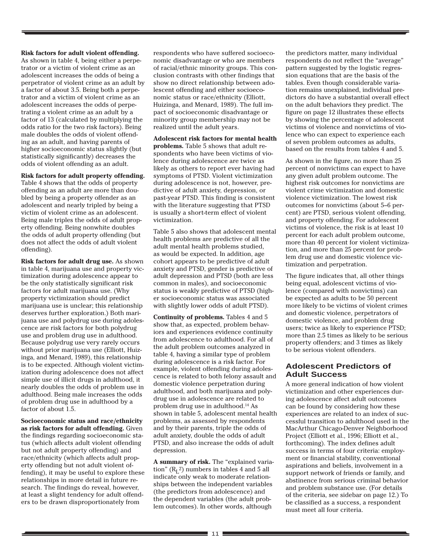**Risk factors for adult violent offending.**

As shown in table 4, being either a perpetrator or a victim of violent crime as an adolescent increases the odds of being a perpetrator of violent crime as an adult by a factor of about 3.5. Being both a perpetrator and a victim of violent crime as an adolescent increases the odds of perpetrating a violent crime as an adult by a factor of 13 (calculated by multiplying the odds ratio for the two risk factors). Being male doubles the odds of violent offending as an adult, and having parents of higher socioeconomic status slightly (but statistically significantly) decreases the odds of violent offending as an adult.

**Risk factors for adult property offending.**

Table 4 shows that the odds of property offending as an adult are more than doubled by being a property offender as an adolescent and nearly tripled by being a victim of violent crime as an adolescent. Being male triples the odds of adult property offending. Being nonwhite doubles the odds of adult property offending (but does not affect the odds of adult violent offending).

**Risk factors for adult drug use.** As shown in table 4, marijuana use and property victimization during adolescence appear to be the only statistically significant risk factors for adult marijuana use. (Why property victimization should predict marijuana use is unclear; this relationship deserves further exploration.) Both marijuana use and polydrug use during adolescence are risk factors for both polydrug use and problem drug use in adulthood. Because polydrug use very rarely occurs without prior marijuana use (Elliott, Huizinga, and Menard, 1989), this relationship is to be expected. Although violent victimization during adolescence does not affect simple use of illicit drugs in adulthood, it nearly doubles the odds of problem use in adulthood. Being male increases the odds of problem drug use in adulthood by a factor of about 1.5.

**Socioeconomic status and race/ethnicity as risk factors for adult offending.** Given the findings regarding socioeconomic status (which affects adult violent offending but not adult property offending) and race/ethnicity (which affects adult property offending but not adult violent offending), it may be useful to explore these relationships in more detail in future research. The findings do reveal, however, at least a slight tendency for adult offenders to be drawn disproportionately from

respondents who have suffered socioeconomic disadvantage or who are members of racial/ethnic minority groups. This conclusion contrasts with other findings that show no direct relationship between adolescent offending and either socioeconomic status or race/ethnicity (Elliott, Huizinga, and Menard, 1989). The full impact of socioeconomic disadvantage or minority group membership may not be realized until the adult years.

**Adolescent risk factors for mental health problems.** Table 5 shows that adult respondents who have been victims of violence during adolescence are twice as likely as others to report ever having had symptoms of PTSD. Violent victimization during adolescence is not, however, predictive of adult anxiety, depression, or past-year PTSD. This finding is consistent with the literature suggesting that PTSD is usually a short-term effect of violent victimization.

Table 5 also shows that adolescent mental health problems are predictive of all the adult mental health problems studied, as would be expected. In addition, age cohort appears to be predictive of adult anxiety and PTSD, gender is predictive of adult depression and PTSD (both are less common in males), and socioeconomic status is weakly predictive of PTSD (higher socioeconomic status was associated with slightly lower odds of adult PTSD).

**Continuity of problems.** Tables 4 and 5 show that, as expected, problem behaviors and experiences evidence continuity from adolescence to adulthood. For all of the adult problem outcomes analyzed in table 4, having a similar type of problem during adolescence is a risk factor. For example, violent offending during adolescence is related to both felony assault and domestic violence perpetration during adulthood, and both marijuana and polydrug use in adolescence are related to problem drug use in adulthood.14 As shown in table 5, adolescent mental health problems, as assessed by respondents and by their parents, triple the odds of adult anxiety, double the odds of adult PTSD, and also increase the odds of adult depression.

**A summary of risk.** The "explained variation"  $(R<sub>L</sub><sup>2</sup>)$  numbers in tables 4 and 5 all indicate only weak to moderate relationships between the independent variables (the predictors from adolescence) and the dependent variables (the adult problem outcomes). In other words, although

the predictors matter, many individual respondents do not reflect the "average" pattern suggested by the logistic regression equations that are the basis of the tables. Even though considerable variation remains unexplained, individual predictors do have a substantial overall effect on the adult behaviors they predict. The figure on page 12 illustrates these effects by showing the percentage of adolescent victims of violence and nonvictims of violence who can expect to experience each of seven problem outcomes as adults, based on the results from tables 4 and 5.

As shown in the figure, no more than 25 percent of nonvictims can expect to have any given adult problem outcome. The highest risk outcomes for nonvictims are violent crime victimization and domestic violence victimization. The lowest risk outcomes for nonvictims (about 5–6 percent) are PTSD, serious violent offending, and property offending. For adolescent victims of violence, the risk is at least 10 percent for each adult problem outcome, more than 40 percent for violent victimization, and more than 25 percent for problem drug use and domestic violence victimization and perpetration.

The figure indicates that, all other things being equal, adolescent victims of violence (compared with nonvictims) can be expected as adults to be 50 percent more likely to be victims of violent crimes and domestic violence, perpetrators of domestic violence, and problem drug users; twice as likely to experience PTSD; more than 2.5 times as likely to be serious property offenders; and 3 times as likely to be serious violent offenders.

#### **Adolescent Predictors of Adult Success**

A more general indication of how violent victimization and other experiences during adolescence affect adult outcomes can be found by considering how these experiences are related to an index of successful transition to adulthood used in the MacArthur Chicago-Denver Neighborhood Project (Elliott et al., 1996; Elliott et al., forthcoming). The index defines adult success in terms of four criteria: employment or financial stability, conventional aspirations and beliefs, involvement in a support network of friends or family, and abstinence from serious criminal behavior and problem substance use. (For details of the criteria, see sidebar on page 12.) To be classified as a success, a respondent must meet all four criteria.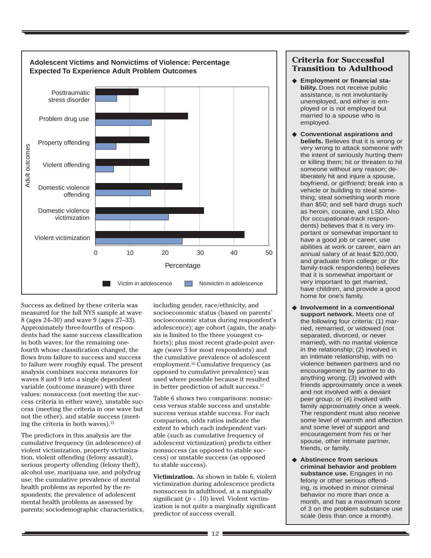

Success as defined by these criteria was measured for the full NYS sample at wave 8 (ages 24–30) and wave 9 (ages 27–33). Approximately three-fourths of respondents had the same success classification in both waves; for the remaining onefourth whose classification changed, the flows from failure to success and success to failure were roughly equal. The present analysis combines success measures for waves 8 and 9 into a single dependent variable (outcome measure) with three values: nonsuccess (not meeting the success criteria in either wave), unstable success (meeting the criteria in one wave but not the other), and stable success (meeting the criteria in both waves).15

The predictors in this analysis are the cumulative frequency (in adolescence) of violent victimization, property victimization, violent offending (felony assault), serious property offending (felony theft), alcohol use, marijuana use, and polydrug use; the cumulative prevalence of mental health problems as reported by the respondents; the prevalence of adolescent mental health problems as assessed by parents; sociodemographic characteristics, including gender, race/ethnicity, and socioeconomic status (based on parents' socioeconomic status during respondent's adolescence); age cohort (again, the analysis is limited to the three youngest cohorts); plus most recent grade-point average (wave 5 for most respondents) and the cumulative prevalence of adolescent employment.16 Cumulative frequency (as opposed to cumulative prevalence) was used where possible because it resulted in better prediction of adult success.17

Table 6 shows two comparisons: nonsuccess versus stable success and unstable success versus stable success. For each comparison, odds ratios indicate the extent to which each independent variable (such as cumulative frequency of adolescent victimization) predicts either nonsuccess (as opposed to stable success) or unstable success (as opposed to stable success).

**Victimization.** As shown in table 6, violent victimization during adolescence predicts nonsuccess in adulthood, at a marginally significant  $(p < .10)$  level. Violent victimization is not quite a marginally significant predictor of success overall.

# **Criteria for Successful Transition to Adulthood**

- ◆ **Employment or financial stability.** Does not receive public assistance, is not involuntarily unemployed, and either is employed or is not employed but married to a spouse who is employed.
- ◆ **Conventional aspirations and beliefs.** Believes that it is wrong or very wrong to attack someone with the intent of seriously hurting them or killing them; hit or threaten to hit someone without any reason; deliberately hit and injure a spouse, boyfriend, or girlfriend; break into a vehicle or building to steal something; steal something worth more than \$50; and sell hard drugs such as heroin, cocaine, and LSD. Also (for occupational-track respondents) believes that it is very important or somewhat important to have a good job or career, use abilities at work or career, earn an annual salary of at least \$20,000, and graduate from college; or (for family-track respondents) believes that it is somewhat important or very important to get married, have children, and provide a good home for one's family.
- ◆ **Involvement in a conventional support network.** Meets one of the following four criteria: (1) married, remarried, or widowed (not separated, divorced, or never married), with no marital violence in the relationship; (2) involved in an intimate relationship, with no violence between partners and no encouragement by partner to do anything wrong; (3) involved with friends approximately once a week and not involved with a deviant peer group; or (4) involved with family approximately once a week. The respondent must also receive some level of warmth and affection and some level of support and encouragement from his or her spouse, other intimate partner, friends, or family.
- ◆ **Abstinence from serious criminal behavior and problem substance use.** Engages in no felony or other serious offending, is involved in minor criminal behavior no more than once a month, and has a maximum score of 3 on the problem substance use scale (less than once a month).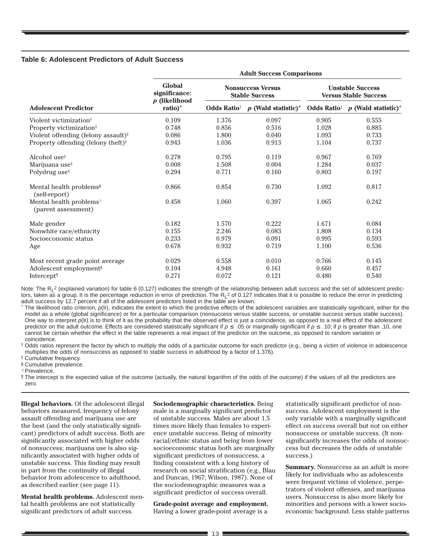#### **Table 6: Adolescent Predictors of Adult Success**

|                                                            | <b>Adult Success Comparisons</b>         |                                                   |                                   |                                                         |                                                                             |  |
|------------------------------------------------------------|------------------------------------------|---------------------------------------------------|-----------------------------------|---------------------------------------------------------|-----------------------------------------------------------------------------|--|
|                                                            | Global<br>significance:<br>p (likelihood | <b>Nonsuccess Versus</b><br><b>Stable Success</b> |                                   | <b>Unstable Success</b><br><b>Versus Stable Success</b> |                                                                             |  |
| <b>Adolescent Predictor</b>                                | ratio) <sup>*</sup>                      | <b>Odds Ratio<sup>†</sup></b>                     | $p$ (Wald statistic) <sup>*</sup> |                                                         | Odds Ratio <sup><math>\uparrow</math></sup> p (Wald statistic) <sup>*</sup> |  |
| Violent victimization <sup>#</sup>                         | 0.109                                    | 1.376                                             | 0.097                             | 0.905                                                   | 0.555                                                                       |  |
| Property victimization <sup>#</sup>                        | 0.748                                    | 0.856                                             | 0.516                             | 1.028                                                   | 0.885                                                                       |  |
| Violent offending (felony assault) <sup>†</sup>            | 0.086                                    | 1.800                                             | 0.040                             | 1.093                                                   | 0.733                                                                       |  |
| Property offending (felony theft) <sup>†</sup>             | 0.943                                    | 1.036                                             | 0.913                             | 1.104                                                   | 0.737                                                                       |  |
| Alcohol use <sup>†</sup>                                   | 0.278                                    | 0.795                                             | 0.119                             | 0.967                                                   | 0.769                                                                       |  |
| Marijuana use <sup>#</sup>                                 | 0.008                                    | 1.508                                             | 0.004                             | 1.284                                                   | 0.037                                                                       |  |
| Polydrug use <sup>#</sup>                                  | 0.294                                    | 0.771                                             | 0.160                             | 0.803                                                   | 0.197                                                                       |  |
| Mental health problems <sup>§</sup><br>(self-report)       | 0.866                                    | 0.854                                             | 0.730                             | 1.092                                                   | 0.817                                                                       |  |
| Mental health problems <sup>®</sup><br>(parent assessment) | 0.458                                    | 1.060                                             | 0.397                             | 1.065                                                   | 0.242                                                                       |  |
| Male gender                                                | 0.182                                    | 1.570                                             | 0.222                             | 1.671                                                   | 0.084                                                                       |  |
| Nonwhite race/ethnicity                                    | 0.155                                    | 2.246                                             | 0.083                             | 1.808                                                   | 0.134                                                                       |  |
| Socioeconomic status                                       | 0.233                                    | 0.979                                             | 0.091                             | 0.995                                                   | 0.593                                                                       |  |
| Age                                                        | 0.678                                    | 0.932                                             | 0.719                             | 1.100                                                   | 0.536                                                                       |  |
| Most recent grade point average                            | 0.029                                    | 0.558                                             | 0.010                             | 0.766                                                   | 0.145                                                                       |  |
| Adolescent employment <sup>§</sup>                         | 0.104                                    | 4.948                                             | 0.161                             | 0.660                                                   | 0.457                                                                       |  |
| Intercept <sup>1</sup>                                     | 0.271                                    | 0.072                                             | 0.121                             | 0.480                                                   | 0.540                                                                       |  |

Note: The R<sub>L</sub><sup>2</sup> (explained variation) for table 6 (0.127) indicates the strength of the relationship between adult success and the set of adolescent predictors, taken as a group. It is the percentage reduction in error of prediction. The R<sub>L</sub><sup>2</sup> of 0.127 indicates that it is possible to reduce the error in predicting adult success by 12.7 percent if all of the adolescent predictors listed in the table are known.

The likelihood ratio criterion,  $p($ Ir), indicates the extent to which the predictive effects of the adolescent variables are statistically significant, either for the model as a whole (global significance) or for a particular comparison (nonsuccess versus stable success, or unstable success versus stable success). One way to interpret  $p(\mathbf{r})$  is to think of it as the probability that the observed effect is just a coincidence, as opposed to a real effect of the adolescent predictor on the adult outcome. Effects are considered statistically significant if  $p \le 0.05$  or marginally significant if  $p \le 0.10$ ; if p is greater than .10, one cannot be certain whether the effect in the table represents a real impact of the predictor on the outcome, as opposed to random variation or coincidence.

† Odds ratios represent the factor by which to multiply the odds of a particular outcome for each predictor (e.g., being a victim of violence in adolescence multiplies the odds of nonsuccess as opposed to stable success in adulthood by a factor of 1.376).

‡ Cumulative frequency.

§ Cumulative prevalence.

||Prevalence.

¶ The intercept is the expected value of the outcome (actually, the natural logarithm of the odds of the outcome) if the values of all the predictors are zero.

**Illegal behaviors.** Of the adolescent illegal behaviors measured, frequency of felony assault offending and marijuana use are the best (and the only statistically significant) predictors of adult success. Both are significantly associated with higher odds of nonsuccess; marijuana use is also significantly associated with higher odds of unstable success. This finding may result in part from the continuity of illegal behavior from adolescence to adulthood, as described earlier (see page 11).

**Mental health problems.** Adolescent mental health problems are not statistically significant predictors of adult success.

**Sociodemographic characteristics.** Being male is a marginally significant predictor of unstable success. Males are about 1.5 times more likely than females to experience unstable success. Being of minority racial/ethnic status and being from lower socioeconomic status both are marginally significant predictors of nonsuccess, a finding consistent with a long history of research on social stratification (e.g., Blau and Duncan, 1967; Wilson, 1987). None of the sociodemographic measures was a significant predictor of success overall.

**Grade-point average and employment.** Having a lower grade-point average is a

statistically significant predictor of nonsuccess. Adolescent employment is the only variable with a marginally significant effect on success overall but not on either nonsuccess or unstable success. (It nonsignificantly increases the odds of nonsuccess but decreases the odds of unstable success.)

**Summary.** Nonsuccess as an adult is more likely for individuals who as adolescents were frequent victims of violence, perpetrators of violent offenses, and marijuana users. Nonsuccess is also more likely for minorities and persons with a lower socioeconomic background. Less stable patterns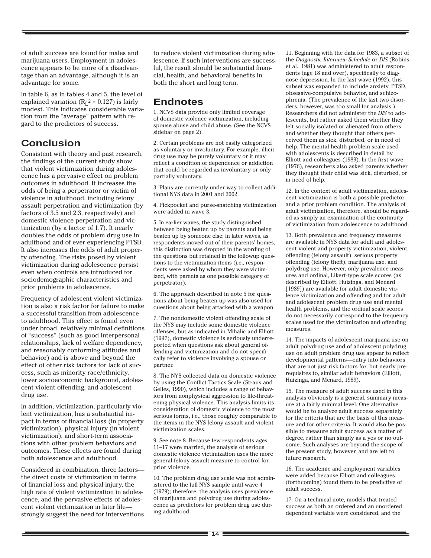of adult success are found for males and marijuana users. Employment in adolescence appears to be more of a disadvantage than an advantage, although it is an advantage for some.

In table 6, as in tables 4 and 5, the level of explained variation ( $R<sub>L</sub>$ <sup>2</sup> = 0.127) is fairly modest. This indicates considerable variation from the "average" pattern with regard to the predictors of success.

# **Conclusion**

Consistent with theory and past research, the findings of the current study show that violent victimization during adolescence has a pervasive effect on problem outcomes in adulthood. It increases the odds of being a perpetrator or victim of violence in adulthood, including felony assault perpetration and victimization (by factors of 3.5 and 2.3, respectively) and domestic violence perpetration and victimization (by a factor of 1.7). It nearly doubles the odds of problem drug use in adulthood and of ever experiencing PTSD. It also increases the odds of adult property offending. The risks posed by violent victimization during adolescence persist even when controls are introduced for sociodemographic characteristics and prior problems in adolescence.

Frequency of adolescent violent victimization is also a risk factor for failure to make a successful transition from adolescence to adulthood. This effect is found even under broad, relatively minimal definitions of "success" (such as good interpersonal relationships, lack of welfare dependency, and reasonably conforming attitudes and behavior) and is above and beyond the effect of other risk factors for lack of success, such as minority race/ethnicity, lower socioeconomic background, adolescent violent offending, and adolescent drug use.

In addition, victimization, particularly violent victimization, has a substantial impact in terms of financial loss (in property victimization), physical injury (in violent victimization), and short-term associations with other problem behaviors and outcomes. These effects are found during both adolescence and adulthood.

Considered in combination, three factors the direct costs of victimization in terms of financial loss and physical injury, the high rate of violent victimization in adolescence, and the pervasive effects of adolescent violent victimization in later life strongly suggest the need for interventions to reduce violent victimization during adolescence. If such interventions are successful, the result should be substantial financial, health, and behavioral benefits in both the short and long term.

# **Endnotes**

1. NCVS data provide only limited coverage of domestic violence victimization, including spouse abuse and child abuse. (See the NCVS sidebar on page 2).

2. Certain problems are not easily categorized as voluntary or involuntary. For example, illicit drug use may be purely voluntary or it may reflect a condition of dependence or addiction that could be regarded as involuntary or only partially voluntary.

3. Plans are currently under way to collect additional NYS data in 2001 and 2002.

4. Pickpocket and purse-snatching victimization were added in wave 3.

5. In earlier waves, the study distinguished between being beaten up by parents and being beaten up by someone else; in later waves, as respondents moved out of their parents' homes, this distinction was dropped in the wording of the questions but retained in the followup questions to the victimization items (i.e., respondents were asked by whom they were victimized, with parents as one possible category of perpetrator).

6. The approach described in note 5 for questions about being beaten up was also used for questions about being attacked with a weapon.

7. The nondomestic violent offending scale of the NYS may include some domestic violence offenses, but as indicated in Mihalic and Elliott (1997), domestic violence is seriously underreported when questions ask about general offending and victimization and do not specifically refer to violence involving a spouse or partner.

8. The NYS collected data on domestic violence by using the Conflict Tactics Scale (Straus and Gelles, 1990), which includes a range of behaviors from nonphysical aggression to life-threatening physical violence. This analysis limits its consideration of domestic violence to the most serious forms, i.e., those roughly comparable to the items in the NYS felony assault and violent victimization scales.

9. See note 8. Because few respondents ages 11–17 were married, the analysis of serious domestic violence victimization uses the more general felony assault measure to control for prior violence.

10. The problem drug use scale was not administered to the full NYS sample until wave 4 (1979); therefore, the analysis uses prevalence of marijuana and polydrug use during adolescence as predictors for problem drug use during adulthood.

11. Beginning with the data for 1983, a subset of the *Diagnostic Interview Schedule* or *DIS* (Robins et al., 1981) was administered to adult respondents (age 18 and over), specifically to diagnose depression. In the last wave (1992), this subset was expanded to include anxiety, PTSD, obsessive-compulsive behavior, and schizophrenia. (The prevalence of the last two disorders, however, was too small for analysis.) Researchers did not administer the *DIS* to adolescents, but rather asked them whether they felt socially isolated or alienated from others and whether they thought that others perceived them as sick, disturbed, or in need of help. The mental health problem scale used with adolescents is described in detail by Elliott and colleagues (1989). In the first wave (1976), researchers also asked parents whether they thought their child was sick, disturbed, or in need of help.

12. In the context of adult victimization, adolescent victimization is both a possible predictor and a prior problem condition. The analysis of adult victimization, therefore, should be regarded as simply an examination of the continuity of victimization from adolescence to adulthood.

13. Both prevalence and frequency measures are available in NYS data for adult and adolescent violent and property victimization, violent offending (felony assault), serious property offending (felony theft), marijuana use, and polydrug use. However, only prevalence measures and ordinal, Likert-type scale scores (as described by Elliott, Huizinga, and Menard [1989]) are available for adult domestic violence victimization and offending and for adult and adolescent problem drug use and mental health problems, and the ordinal scale scores do not necessarily correspond to the frequency scales used for the victimization and offending measures.

14. The impacts of adolescent marijuana use on adult polydrug use and of adolescent polydrug use on adult problem drug use appear to reflect developmental patterns—entry into behaviors that are not just risk factors for, but nearly prerequisites to, similar adult behaviors (Elliott, Huizinga, and Menard, 1989).

15. The measure of adult success used in this analysis obviously is a general, summary measure at a fairly minimal level. One alternative would be to analyze adult success separately for the criteria that are the basis of this measure and for other criteria. It would also be possible to measure adult success as a matter of degree, rather than simply as a yes or no outcome. Such analyses are beyond the scope of the present study, however, and are left to future research.

16. The academic and employment variables were added because Elliott and colleagues (forthcoming) found them to be predictive of adult success.

17. On a technical note, models that treated success as both an ordered and an unordered dependent variable were considered, and the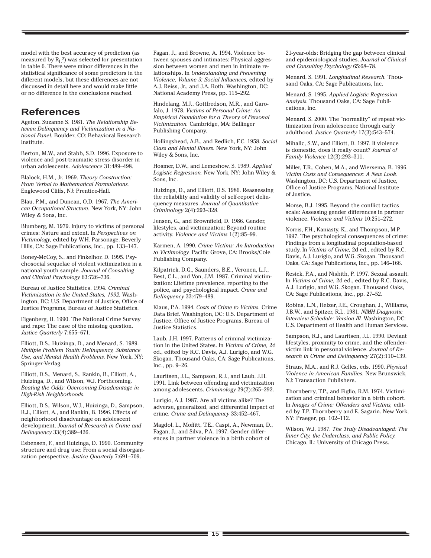model with the best accuracy of prediction (as measured by  $\text{R}_{\text{L}}$ 2) was selected for presentation in table 6. There were minor differences in the statistical significance of some predictors in the different models, but these differences are not discussed in detail here and would make little or no difference in the conclusions reached.

# **References**

Ageton, Suzanne S. 1981. *The Relationship Between Delinquency and Victimization in a National Panel.* Boulder, CO: Behavioral Research Institute.

Berton, M.W., and Stabb, S.D. 1996. Exposure to violence and post-traumatic stress disorder in urban adolescents. *Adolescence* 31:489–498.

Blalock, H.M., Jr. 1969. *Theory Construction: From Verbal to Mathematical Formulations.* Englewood Cliffs, NJ: Prentice-Hall.

Blau, P.M., and Duncan, O.D. 1967. *The American Occupational Structure.* New York, NY: John Wiley & Sons, Inc.

Blumberg, M. 1979. Injury to victims of personal crimes: Nature and extent. In *Perspectives on Victimology,* edited by W.H. Parsonage. Beverly Hills, CA: Sage Publications, Inc., pp. 133–147.

Boney-McCoy, S., and Finkelhor, D. 1995. Psychosocial sequelae of violent victimization in a national youth sample. *Journal of Consulting and Clinical Psychology* 63:726–736.

Bureau of Justice Statistics. 1994. *Criminal Victimization in the United States, 1992.* Washington, DC: U.S. Department of Justice, Office of Justice Programs, Bureau of Justice Statistics.

Eigenberg, H. 1990. The National Crime Survey and rape: The case of the missing question. *Justice Quarterly* 7:655–671.

Elliott, D.S., Huizinga, D., and Menard, S. 1989. *Multiple Problem Youth: Delinquency, Substance Use, and Mental Health Problems.* New York, NY: Springer-Verlag.

Elliott, D.S., Menard, S., Rankin, B., Elliott, A., Huizinga, D., and Wilson, W.J. Forthcoming. *Beating the Odds: Overcoming Disadvantage in High-Risk Neighborhoods.*

Elliott, D.S., Wilson, W.J., Huizinga, D., Sampson, R.J., Elliott, A., and Rankin, B. 1996. Effects of neighborhood disadvantage on adolescent development. *Journal of Research in Crime and Delinquency* 33(4):389–426.

Esbensen, F., and Huizinga, D. 1990. Community structure and drug use: From a social disorganization perspective. *Justice Quarterly* 7:691–709.

Fagan, J., and Browne, A. 1994. Violence between spouses and intimates: Physical aggression between women and men in intimate relationships. In *Understanding and Preventing Violence, Volume 3: Social Influences,* edited by A.J. Reiss, Jr., and J.A. Roth. Washington, DC: National Academy Press, pp. 115–292.

Hindelang, M.J., Gottfredson, M.R., and Garofalo, J. 1978. *Victims of Personal Crime: An Empirical Foundation for a Theory of Personal Victimization.* Cambridge, MA: Ballinger Publishing Company.

Hollingshead, A.B., and Redlich, F.C. 1958. *Social Class and Mental Illness.* New York, NY: John Wiley & Sons, Inc.

Hosmer, D.W., and Lemeshow, S. 1989. *Applied Logistic Regression.* New York, NY: John Wiley & Sons, Inc.

Huizinga, D., and Elliott, D.S. 1986. Reassessing the reliability and validity of self-report delinquency measures. *Journal of Quantitative Criminology* 2(4):293–328.

Jensen, G., and Brownfield, D. 1986. Gender, lifestyles, and victimization: Beyond routine activity. *Violence and Victims* 1(2):85–99.

Karmen, A. 1990. *Crime Victims: An Introduction to Victimology.* Pacific Grove, CA: Brooks/Cole Publishing Company.

Kilpatrick, D.G., Saunders, B.E., Veronen, L.J., Best, C.L., and Von, J.M. 1987. Criminal victimization: Lifetime prevalence, reporting to the police, and psychological impact. *Crime and Delinquency* 33:479–489.

Klaus, P.A. 1994. *Costs of Crime to Victims.* Crime Data Brief. Washington, DC: U.S. Department of Justice, Office of Justice Programs, Bureau of Justice Statistics.

Laub, J.H. 1997. Patterns of criminal victimization in the United States. In *Victims of Crime,* 2d ed., edited by R.C. Davis, A.J. Lurigio, and W.G. Skogan. Thousand Oaks, CA: Sage Publications, Inc., pp. 9–26.

Lauritsen, J.L., Sampson, R.J., and Laub, J.H. 1991. Link between offending and victimization among adolescents. *Criminology* 29(2):265–292.

Lurigio, A.J. 1987. Are all victims alike? The adverse, generalized, and differential impact of crime. *Crime and Delinquency* 33:452–467.

Magdol, L., Moffitt, T.E., Caspi, A., Newman, D., Fagan, J., and Silva, P.A. 1997. Gender differences in partner violence in a birth cohort of

21-year-olds: Bridging the gap between clinical and epidemiological studies. *Journal of Clinical and Consulting Psychology* 65:68–78.

Menard, S. 1991. *Longitudinal Research.* Thousand Oaks, CA: Sage Publications, Inc.

Menard, S. 1995. *Applied Logistic Regression Analysis.* Thousand Oaks, CA: Sage Publications, Inc.

Menard, S. 2000. The "normality" of repeat victimization from adolescence through early adulthood. *Justice Quarterly* 17(3):543–574.

Mihalic, S.W., and Elliott, D. 1997. If violence is domestic, does it really count? *Journal of Family Violence* 12(3):293–311.

Miller, T.R., Cohen, M.A., and Wiersema, B. 1996. *Victim Costs and Consequences: A New Look.* Washington, DC: U.S. Department of Justice, Office of Justice Programs, National Institute of Justice.

Morse, B.J. 1995. Beyond the conflict tactics scale: Assessing gender differences in partner violence. *Violence and Victims* 10:251–272.

Norris, F.H., Kaniasty, K., and Thompson, M.P. 1997. The psychological consequences of crime: Findings from a longitudinal population-based study. In *Victims of Crime,* 2d ed., edited by R.C. Davis, A.J. Lurigio, and W.G. Skogan. Thousand Oaks, CA: Sage Publications, Inc., pp. 146–166.

Resick, P.A., and Nishith, P. 1997. Sexual assault. In *Victims of Crime,* 2d ed., edited by R.C. Davis, A.J. Lurigio, and W.G. Skogan. Thousand Oaks, CA: Sage Publications, Inc., pp. 27–52.

Robins, L.N., Helzer, J.E., Croughan, J., Williams, J.B.W., and Spitzer, R.L. 1981. *NIMH Diagnostic Interview Schedule: Version III.* Washington, DC: U.S. Department of Health and Human Services.

Sampson, R.J., and Lauritsen, J.L. 1990. Deviant lifestyles, proximity to crime, and the offendervictim link in personal violence. *Journal of Research in Crime and Delinquency* 27(2):110–139.

Straus, M.A., and R.J. Gelles, eds. 1990. *Physical Violence in American Families.* New Brunswick, NJ: Transaction Publishers.

Thornberry, T.P., and Figlio, R.M. 1974. Victimization and criminal behavior in a birth cohort. In *Images of Crime: Offenders and Victims,* edited by T.P. Thornberry and E. Sagarin. New York, NY: Praeger, pp. 102–112.

Wilson, W.J. 1987. *The Truly Disadvantaged: The Inner City, the Underclass, and Public Policy.* Chicago, IL: University of Chicago Press.